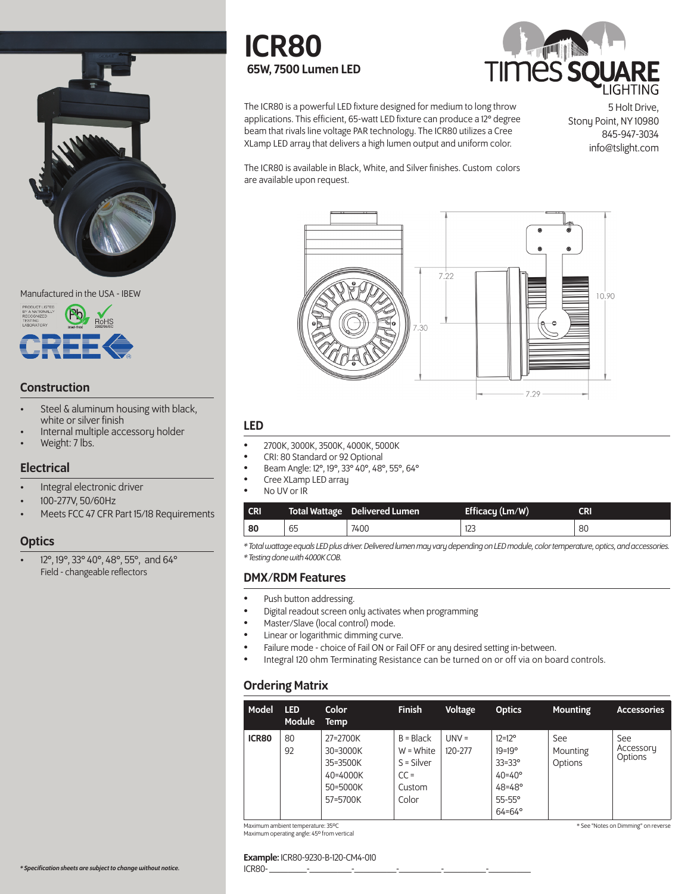





### **Construction**

- Steel & aluminum housing with black,<br>white or silver finish
- Internal multiple accessory holder
- Weight: 7 lbs.

#### **Electrical**

- Integral electronic driver
- 100-277V, 50/60Hz
- Meets FCC 47 CFR Part 15/18 Requirements

### **Optics**

• 12°, 19°, 33° 40°, 48°, 55°, and 64° Field - changeable reflectors

# ICR80 65W, 7500 Lumen LED



The ICR80 is a powerful LED fixture designed for medium to long throw applications. This efficient, 65-watt LED fixture can produce a 12° degree beam that rivals line voltage PAR technology. The ICR80 utilizes a Cree XLamp LED array that delivers a high lumen output and uniform color.

5 Holt Drive, Stony Point, NY 10980 845-947-3034 info@tslight.com

The ICR80 is available in Black, White, and Silver finishes. Custom colors are available upon request.



### LED

- 2700K, 3000K, 3500K, 4000K, 5000K
- CRI: 80 Standard or 92 Optional
- Beam Angle: 12°, 19°, 33° 40°, 48°, 55°, 64°
- Cree XLamp LED array
- No UV or IR

| <b>CRI</b> |    | <b>Total Wattage</b> Delivered Lumen | Efficacy $(Lm/W)$ | CRI |
|------------|----|--------------------------------------|-------------------|-----|
| 80         | 65 | 7400                                 | د∠ا               | 80  |

*\* Total wattage equals LED plus driver. Delivered lumen may vary depending on LED module, color temperature, optics, and accessories. \* Testing done with 4000K COB.*

### DMX/RDM Features

- Push button addressing.
- Digital readout screen only activates when programming
- Master/Slave (local control) mode.
- Linear or logarithmic dimming curve.
- Failure mode choice of Fail ON or Fail OFF or any desired setting in-between.
- Integral 120 ohm Terminating Resistance can be turned on or off via on board controls.

# Ordering Matrix

| Model | <b>LED</b><br>Module | <b>Color</b><br><b>Temp</b>                                          | <b>Finish</b>                                                           | <b>Voltage</b>     | <b>Optics</b>                                                                                                                      | <b>Mounting</b>            | <b>Accessories</b>          |
|-------|----------------------|----------------------------------------------------------------------|-------------------------------------------------------------------------|--------------------|------------------------------------------------------------------------------------------------------------------------------------|----------------------------|-----------------------------|
| ICR80 | 80<br>92             | 27=2700K<br>30=3000K<br>35=3500K<br>40=4000K<br>50=5000K<br>57=5700K | $B = Black$<br>$W = White$<br>$S = Silver$<br>$CC =$<br>Custom<br>Color | $UNV =$<br>120-277 | $12 = 12^{\circ}$<br>$19 = 19^{\circ}$<br>$33 = 33^\circ$<br>$40 = 40^{\circ}$<br>$48 = 48°$<br>$55-55^\circ$<br>$64 = 64^{\circ}$ | See<br>Mounting<br>Options | See<br>Accessory<br>Options |

Maximum ambient temperature: 35ºC Maximum operating angle: 45º from vertical

ICR80- \_\_\_\_\_\_\_\_-\_\_\_\_\_\_\_\_\_-\_\_\_\_\_\_\_\_\_-\_\_\_\_\_\_\_\_\_-\_\_\_\_\_\_\_\_\_-\_\_\_\_\_\_\_\_\_

#### \* See "Notes on Dimming" on reverse

Example: ICR80-9230-B-120-CM4-010

*\* Specification sheets are subject to change without notice.*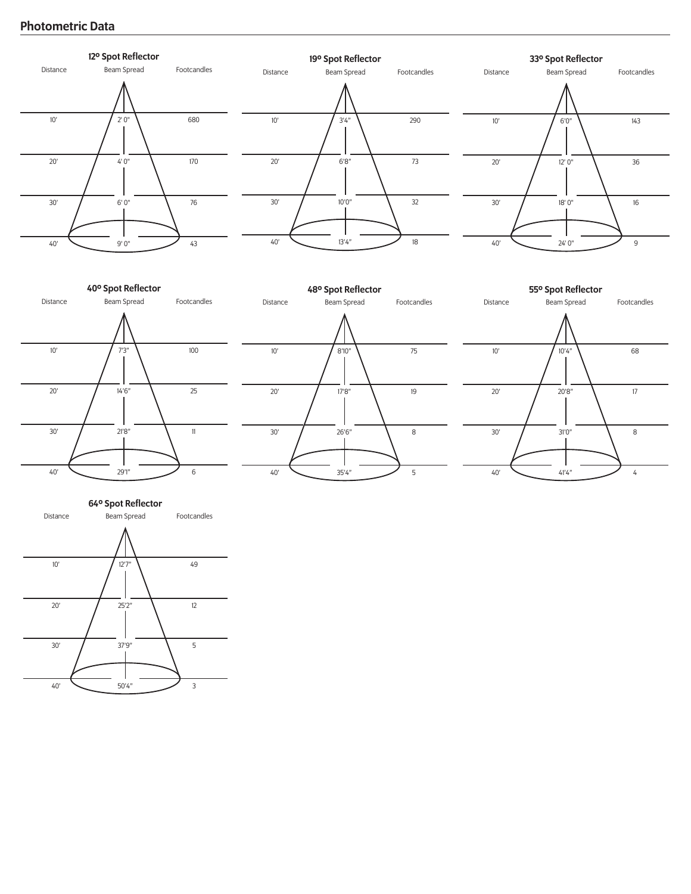# Photometric Data









Distance Beam Spread Footcandles 64º Spot Reflector